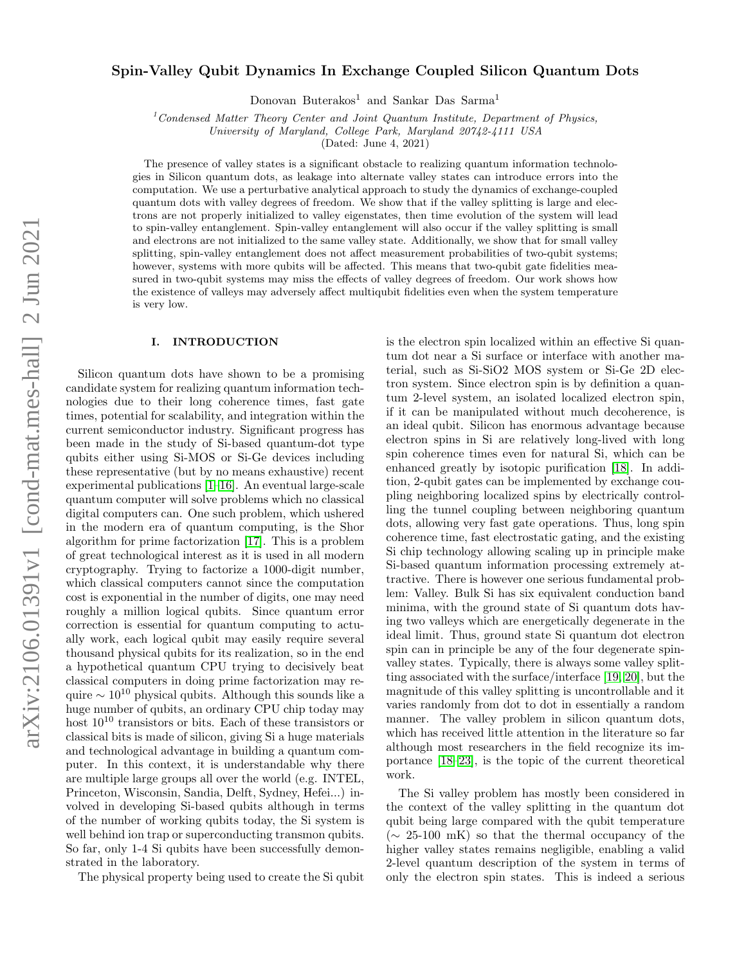# $arXiv:2106.01391v1$  [cond-mat.mes-hall] 2 Jun 2021 arXiv:2106.01391v1 [cond-mat.mes-hall] 2 Jun 2021

# Spin-Valley Qubit Dynamics In Exchange Coupled Silicon Quantum Dots

Donovan Buterakos<sup>1</sup> and Sankar Das Sarma<sup>1</sup>

 $1$ Condensed Matter Theory Center and Joint Quantum Institute, Department of Physics,

University of Maryland, College Park, Maryland 20742-4111 USA

(Dated: June 4, 2021)

The presence of valley states is a significant obstacle to realizing quantum information technologies in Silicon quantum dots, as leakage into alternate valley states can introduce errors into the computation. We use a perturbative analytical approach to study the dynamics of exchange-coupled quantum dots with valley degrees of freedom. We show that if the valley splitting is large and electrons are not properly initialized to valley eigenstates, then time evolution of the system will lead to spin-valley entanglement. Spin-valley entanglement will also occur if the valley splitting is small and electrons are not initialized to the same valley state. Additionally, we show that for small valley splitting, spin-valley entanglement does not affect measurement probabilities of two-qubit systems; however, systems with more qubits will be affected. This means that two-qubit gate fidelities measured in two-qubit systems may miss the effects of valley degrees of freedom. Our work shows how the existence of valleys may adversely affect multiqubit fidelities even when the system temperature is very low.

# I. INTRODUCTION

Silicon quantum dots have shown to be a promising candidate system for realizing quantum information technologies due to their long coherence times, fast gate times, potential for scalability, and integration within the current semiconductor industry. Significant progress has been made in the study of Si-based quantum-dot type qubits either using Si-MOS or Si-Ge devices including these representative (but by no means exhaustive) recent experimental publications [\[1](#page-8-0)[–16\]](#page-9-0). An eventual large-scale quantum computer will solve problems which no classical digital computers can. One such problem, which ushered in the modern era of quantum computing, is the Shor algorithm for prime factorization [\[17\]](#page-9-1). This is a problem of great technological interest as it is used in all modern cryptography. Trying to factorize a 1000-digit number, which classical computers cannot since the computation cost is exponential in the number of digits, one may need roughly a million logical qubits. Since quantum error correction is essential for quantum computing to actually work, each logical qubit may easily require several thousand physical qubits for its realization, so in the end a hypothetical quantum CPU trying to decisively beat classical computers in doing prime factorization may require  $\sim 10^{10}$  physical qubits. Although this sounds like a huge number of qubits, an ordinary CPU chip today may host  $10^{10}$  transistors or bits. Each of these transistors or classical bits is made of silicon, giving Si a huge materials and technological advantage in building a quantum computer. In this context, it is understandable why there are multiple large groups all over the world (e.g. INTEL, Princeton, Wisconsin, Sandia, Delft, Sydney, Hefei...) involved in developing Si-based qubits although in terms of the number of working qubits today, the Si system is well behind ion trap or superconducting transmon qubits. So far, only 1-4 Si qubits have been successfully demonstrated in the laboratory.

The physical property being used to create the Si qubit

is the electron spin localized within an effective Si quantum dot near a Si surface or interface with another material, such as Si-SiO2 MOS system or Si-Ge 2D electron system. Since electron spin is by definition a quantum 2-level system, an isolated localized electron spin, if it can be manipulated without much decoherence, is an ideal qubit. Silicon has enormous advantage because electron spins in Si are relatively long-lived with long spin coherence times even for natural Si, which can be enhanced greatly by isotopic purification [\[18\]](#page-9-2). In addition, 2-qubit gates can be implemented by exchange coupling neighboring localized spins by electrically controlling the tunnel coupling between neighboring quantum dots, allowing very fast gate operations. Thus, long spin coherence time, fast electrostatic gating, and the existing Si chip technology allowing scaling up in principle make Si-based quantum information processing extremely attractive. There is however one serious fundamental problem: Valley. Bulk Si has six equivalent conduction band minima, with the ground state of Si quantum dots having two valleys which are energetically degenerate in the ideal limit. Thus, ground state Si quantum dot electron spin can in principle be any of the four degenerate spinvalley states. Typically, there is always some valley splitting associated with the surface/interface [\[19,](#page-9-3) [20\]](#page-9-4), but the magnitude of this valley splitting is uncontrollable and it varies randomly from dot to dot in essentially a random manner. The valley problem in silicon quantum dots, which has received little attention in the literature so far although most researchers in the field recognize its importance [\[18–](#page-9-2)[23\]](#page-9-5), is the topic of the current theoretical work.

The Si valley problem has mostly been considered in the context of the valley splitting in the quantum dot qubit being large compared with the qubit temperature  $({\sim}25{\text -}100 \text{ mK})$  so that the thermal occupancy of the higher valley states remains negligible, enabling a valid 2-level quantum description of the system in terms of only the electron spin states. This is indeed a serious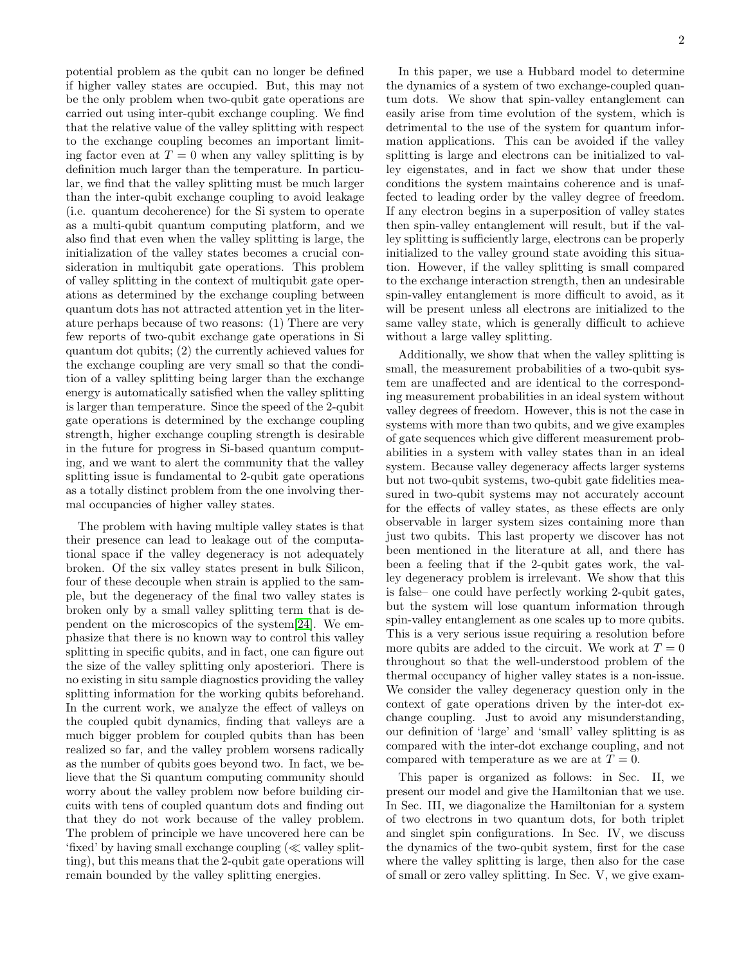potential problem as the qubit can no longer be defined if higher valley states are occupied. But, this may not be the only problem when two-qubit gate operations are carried out using inter-qubit exchange coupling. We find that the relative value of the valley splitting with respect to the exchange coupling becomes an important limiting factor even at  $T = 0$  when any valley splitting is by definition much larger than the temperature. In particular, we find that the valley splitting must be much larger than the inter-qubit exchange coupling to avoid leakage (i.e. quantum decoherence) for the Si system to operate as a multi-qubit quantum computing platform, and we also find that even when the valley splitting is large, the initialization of the valley states becomes a crucial consideration in multiqubit gate operations. This problem of valley splitting in the context of multiqubit gate operations as determined by the exchange coupling between quantum dots has not attracted attention yet in the literature perhaps because of two reasons: (1) There are very few reports of two-qubit exchange gate operations in Si quantum dot qubits; (2) the currently achieved values for the exchange coupling are very small so that the condition of a valley splitting being larger than the exchange energy is automatically satisfied when the valley splitting is larger than temperature. Since the speed of the 2-qubit gate operations is determined by the exchange coupling strength, higher exchange coupling strength is desirable in the future for progress in Si-based quantum computing, and we want to alert the community that the valley splitting issue is fundamental to 2-qubit gate operations as a totally distinct problem from the one involving thermal occupancies of higher valley states.

The problem with having multiple valley states is that their presence can lead to leakage out of the computational space if the valley degeneracy is not adequately broken. Of the six valley states present in bulk Silicon, four of these decouple when strain is applied to the sample, but the degeneracy of the final two valley states is broken only by a small valley splitting term that is dependent on the microscopics of the system[\[24\]](#page-9-6). We emphasize that there is no known way to control this valley splitting in specific qubits, and in fact, one can figure out the size of the valley splitting only aposteriori. There is no existing in situ sample diagnostics providing the valley splitting information for the working qubits beforehand. In the current work, we analyze the effect of valleys on the coupled qubit dynamics, finding that valleys are a much bigger problem for coupled qubits than has been realized so far, and the valley problem worsens radically as the number of qubits goes beyond two. In fact, we believe that the Si quantum computing community should worry about the valley problem now before building circuits with tens of coupled quantum dots and finding out that they do not work because of the valley problem. The problem of principle we have uncovered here can be 'fixed' by having small exchange coupling  $(\ll$  valley splitting), but this means that the 2-qubit gate operations will remain bounded by the valley splitting energies.

In this paper, we use a Hubbard model to determine the dynamics of a system of two exchange-coupled quantum dots. We show that spin-valley entanglement can easily arise from time evolution of the system, which is detrimental to the use of the system for quantum information applications. This can be avoided if the valley splitting is large and electrons can be initialized to valley eigenstates, and in fact we show that under these conditions the system maintains coherence and is unaffected to leading order by the valley degree of freedom. If any electron begins in a superposition of valley states then spin-valley entanglement will result, but if the valley splitting is sufficiently large, electrons can be properly

initialized to the valley ground state avoiding this situation. However, if the valley splitting is small compared to the exchange interaction strength, then an undesirable spin-valley entanglement is more difficult to avoid, as it will be present unless all electrons are initialized to the same valley state, which is generally difficult to achieve without a large valley splitting.

Additionally, we show that when the valley splitting is small, the measurement probabilities of a two-qubit system are unaffected and are identical to the corresponding measurement probabilities in an ideal system without valley degrees of freedom. However, this is not the case in systems with more than two qubits, and we give examples of gate sequences which give different measurement probabilities in a system with valley states than in an ideal system. Because valley degeneracy affects larger systems but not two-qubit systems, two-qubit gate fidelities measured in two-qubit systems may not accurately account for the effects of valley states, as these effects are only observable in larger system sizes containing more than just two qubits. This last property we discover has not been mentioned in the literature at all, and there has been a feeling that if the 2-qubit gates work, the valley degeneracy problem is irrelevant. We show that this is false– one could have perfectly working 2-qubit gates, but the system will lose quantum information through spin-valley entanglement as one scales up to more qubits. This is a very serious issue requiring a resolution before more qubits are added to the circuit. We work at  $T = 0$ throughout so that the well-understood problem of the thermal occupancy of higher valley states is a non-issue. We consider the valley degeneracy question only in the context of gate operations driven by the inter-dot exchange coupling. Just to avoid any misunderstanding, our definition of 'large' and 'small' valley splitting is as compared with the inter-dot exchange coupling, and not compared with temperature as we are at  $T = 0$ .

This paper is organized as follows: in Sec. II, we present our model and give the Hamiltonian that we use. In Sec. III, we diagonalize the Hamiltonian for a system of two electrons in two quantum dots, for both triplet and singlet spin configurations. In Sec. IV, we discuss the dynamics of the two-qubit system, first for the case where the valley splitting is large, then also for the case of small or zero valley splitting. In Sec. V, we give exam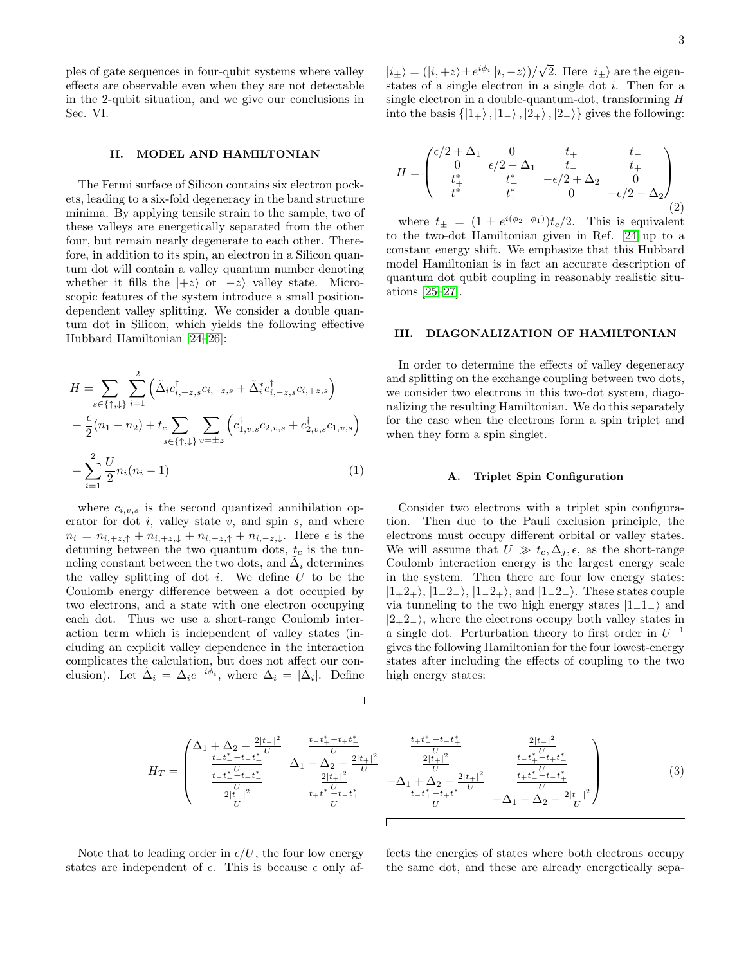ples of gate sequences in four-qubit systems where valley effects are observable even when they are not detectable in the 2-qubit situation, and we give our conclusions in Sec. VI.

### II. MODEL AND HAMILTONIAN

The Fermi surface of Silicon contains six electron pockets, leading to a six-fold degeneracy in the band structure minima. By applying tensile strain to the sample, two of these valleys are energetically separated from the other four, but remain nearly degenerate to each other. Therefore, in addition to its spin, an electron in a Silicon quantum dot will contain a valley quantum number denoting whether it fills the  $|+z\rangle$  or  $|-z\rangle$  valley state. Microscopic features of the system introduce a small positiondependent valley splitting. We consider a double quantum dot in Silicon, which yields the following effective Hubbard Hamiltonian [\[24–](#page-9-6)[26\]](#page-9-7):

$$
H = \sum_{s \in \{\uparrow, \downarrow\}} \sum_{i=1}^{2} \left( \tilde{\Delta}_{i} c_{i, +z, s}^{\dagger} c_{i, -z, s} + \tilde{\Delta}_{i}^{*} c_{i, -z, s}^{\dagger} c_{i, +z, s} \right) + \frac{\epsilon}{2} (n_{1} - n_{2}) + t_{c} \sum_{s \in \{\uparrow, \downarrow\}} \sum_{v = \pm z} \left( c_{1, v, s}^{\dagger} c_{2, v, s} + c_{2, v, s}^{\dagger} c_{1, v, s} \right) + \sum_{i=1}^{2} \frac{U}{2} n_{i} (n_{i} - 1)
$$
 (1)

where  $c_{i,v,s}$  is the second quantized annihilation operator for dot  $i$ , valley state  $v$ , and spin  $s$ , and where  $n_i = n_{i, +z, \uparrow} + n_{i, +z, \downarrow} + n_{i, -z, \uparrow} + n_{i, -z, \downarrow}$ . Here  $\epsilon$  is the detuning between the two quantum dots,  $t_c$  is the tunneling constant between the two dots, and  $\tilde{\Delta}_i$  determines the valley splitting of dot  $i$ . We define  $U$  to be the Coulomb energy difference between a dot occupied by two electrons, and a state with one electron occupying each dot. Thus we use a short-range Coulomb interaction term which is independent of valley states (including an explicit valley dependence in the interaction complicates the calculation, but does not affect our conclusion). Let  $\tilde{\Delta}_i = \Delta_i e^{-i\phi_i}$ , where  $\Delta_i = |\tilde{\Delta}_i|$ . Define

 $|i_{\pm}\rangle = (|i, +z\rangle \pm e^{i\phi_i} |i, -z\rangle)/$ √ 2. Here  $|i_{\pm}\rangle$  are the eigenstates of a single electron in a single dot  $i$ . Then for a single electron in a double-quantum-dot, transforming H into the basis  $\{|1_{+}\rangle, |1_{-}\rangle, |2_{+}\rangle, |2_{-}\rangle\}$  gives the following:

$$
H = \begin{pmatrix} \epsilon/2 + \Delta_1 & 0 & t_+ & t_- \\ 0 & \epsilon/2 - \Delta_1 & t_- & t_+ \\ t_+^* & t_-^* & -\epsilon/2 + \Delta_2 & 0 \\ t_-^* & t_+^* & 0 & -\epsilon/2 - \Delta_2 \end{pmatrix}
$$
(2)

where  $t_{\pm} = (1 \pm e^{i(\phi_2 - \phi_1)})t_c/2$ . This is equivalent to the two-dot Hamiltonian given in Ref. [24](#page-9-6) up to a constant energy shift. We emphasize that this Hubbard model Hamiltonian is in fact an accurate description of quantum dot qubit coupling in reasonably realistic situations [\[25](#page-9-8)[–27\]](#page-9-9).

### III. DIAGONALIZATION OF HAMILTONIAN

In order to determine the effects of valley degeneracy and splitting on the exchange coupling between two dots, we consider two electrons in this two-dot system, diagonalizing the resulting Hamiltonian. We do this separately for the case when the electrons form a spin triplet and when they form a spin singlet.

### A. Triplet Spin Configuration

Consider two electrons with a triplet spin configuration. Then due to the Pauli exclusion principle, the electrons must occupy different orbital or valley states. We will assume that  $U \gg t_c, \Delta_j, \epsilon$ , as the short-range Coulomb interaction energy is the largest energy scale in the system. Then there are four low energy states:  $|1+2+\rangle$ ,  $|1+2-\rangle$ ,  $|1-2+\rangle$ , and  $|1-2-\rangle$ . These states couple via tunneling to the two high energy states  $|1+1-1\rangle$  and  $|2+2$ <sub>-</sub> $\rangle$ , where the electrons occupy both valley states in a single dot. Perturbation theory to first order in  $U^{-1}$ gives the following Hamiltonian for the four lowest-energy states after including the effects of coupling to the two high energy states:

<span id="page-2-0"></span>
$$
H_{T} = \begin{pmatrix} \Delta_{1} + \Delta_{2} - \frac{2|t-|^{2}}{U} & \frac{t-t^{*}_{+}-t+t^{*}_{-}}{U} & \frac{t+t^{*}_{-}-t-t^{*}_{+}}{U} \\ \frac{t+t^{*}_{-}-t-t^{*}_{+}}{U} & \Delta_{1} - \Delta_{2} - \frac{2|t+|^{2}}{U} & \frac{2|t+|^{2}}{U} & \frac{t-t^{*}_{+}-t-t^{*}_{+}}{U} \\ \frac{t-t^{*}_{+}-t+t^{*}_{-}}{U} & \frac{2|t+|^{2}}{U} & -\Delta_{1} + \Delta_{2} - \frac{2|t+|^{2}}{U} & \frac{t-t^{*}_{+}-t-t^{*}_{+}}{U} \\ \frac{2|t-|^{2}}{U} & \frac{t+t^{*}_{-}-t-t^{*}_{+}}{U} & -\Delta_{1} - \Delta_{2} - \frac{2|t-|^{2}}{U} \end{pmatrix}
$$
(3)

Note that to leading order in  $\epsilon/U$ , the four low energy states are independent of  $\epsilon$ . This is because  $\epsilon$  only affects the energies of states where both electrons occupy the same dot, and these are already energetically sepa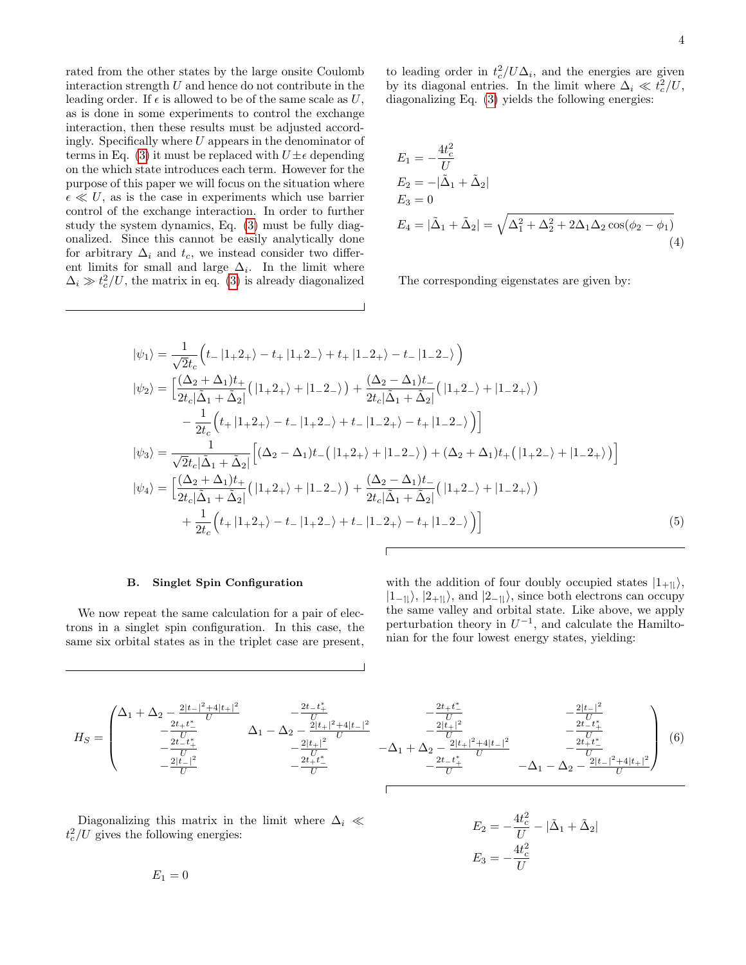rated from the other states by the large onsite Coulomb interaction strength  $U$  and hence do not contribute in the leading order. If  $\epsilon$  is allowed to be of the same scale as U, as is done in some experiments to control the exchange interaction, then these results must be adjusted accordingly. Specifically where  $U$  appears in the denominator of terms in Eq. [\(3\)](#page-2-0) it must be replaced with  $U \pm \epsilon$  depending on the which state introduces each term. However for the purpose of this paper we will focus on the situation where  $\epsilon \ll U$ , as is the case in experiments which use barrier control of the exchange interaction. In order to further study the system dynamics, Eq. [\(3\)](#page-2-0) must be fully diagonalized. Since this cannot be easily analytically done for arbitrary  $\Delta_i$  and  $t_c$ , we instead consider two different limits for small and large  $\Delta_i$ . In the limit where  $\Delta_i \gg t_c^2/U$ , the matrix in eq. [\(3\)](#page-2-0) is already diagonalized

<span id="page-3-2"></span>4

to leading order in  $t_c^2 / U \Delta_i$ , and the energies are given by its diagonal entries. In the limit where  $\Delta_i \ll t_c^2/U$ , diagonalizing Eq. [\(3\)](#page-2-0) yields the following energies:

$$
E_1 = -\frac{4t_c^2}{U}
$$
  
\n
$$
E_2 = -|\tilde{\Delta}_1 + \tilde{\Delta}_2|
$$
  
\n
$$
E_3 = 0
$$
  
\n
$$
E_4 = |\tilde{\Delta}_1 + \tilde{\Delta}_2| = \sqrt{\Delta_1^2 + \Delta_2^2 + 2\Delta_1\Delta_2\cos(\phi_2 - \phi_1)}
$$
\n(4)

The corresponding eigenstates are given by:

$$
|\psi_{1}\rangle = \frac{1}{\sqrt{2}t_{c}} \left( t_{-}|1_{+}2_{+}\rangle - t_{+}|1_{+}2_{-}\rangle + t_{+}|1_{-}2_{+}\rangle - t_{-}|1_{-}2_{-}\rangle \right)
$$
  
\n
$$
|\psi_{2}\rangle = \left[ \frac{(\Delta_{2} + \Delta_{1})t_{+}}{2t_{c}|\Delta_{1} + \Delta_{2}|} (|1_{+}2_{+}\rangle + |1_{-}2_{-}\rangle) + \frac{(\Delta_{2} - \Delta_{1})t_{-}}{2t_{c}|\Delta_{1} + \Delta_{2}|} (|1_{+}2_{-}\rangle + |1_{-}2_{+}\rangle) - \frac{1}{2t_{c}} \left( t_{+}|1_{+}2_{+}\rangle - t_{-}|1_{+}2_{-}\rangle + t_{-}|1_{-}2_{+}\rangle - t_{+}|1_{-}2_{-}\rangle \right) \right]
$$
  
\n
$$
|\psi_{3}\rangle = \frac{1}{\sqrt{2}t_{c}|\Delta_{1} + \Delta_{2}|} \left[ (\Delta_{2} - \Delta_{1})t_{-} (|1_{+}2_{+}\rangle + |1_{-}2_{-}\rangle) + (\Delta_{2} + \Delta_{1})t_{+} (|1_{+}2_{-}\rangle + |1_{-}2_{+}\rangle) \right]
$$
  
\n
$$
|\psi_{4}\rangle = \left[ \frac{(\Delta_{2} + \Delta_{1})t_{+}}{2t_{c}|\Delta_{1} + \Delta_{2}|} (|1_{+}2_{+}\rangle + |1_{-}2_{-}\rangle) + \frac{(\Delta_{2} - \Delta_{1})t_{-}}{2t_{c}|\Delta_{1} + \Delta_{2}|} (|1_{+}2_{-}\rangle + |1_{-}2_{+}\rangle) + \frac{1}{2t_{c}} \left( t_{+}|1_{+}2_{+}\rangle - t_{-}|1_{+}2_{-}\rangle + t_{-}|1_{-}2_{+}\rangle - t_{+}|1_{-}2_{-}\rangle \right) \right]
$$
  
\n(5)

### B. Singlet Spin Configuration

We now repeat the same calculation for a pair of electrons in a singlet spin configuration. In this case, the same six orbital states as in the triplet case are present,

<span id="page-3-0"></span>with the addition of four doubly occupied states  $|1_{+1}\rangle$ ,  $|1_{-1}\rangle$ ,  $|2_{+1}\rangle$ , and  $|2_{-1}\rangle$ , since both electrons can occupy the same valley and orbital state. Like above, we apply perturbation theory in  $U^{-1}$ , and calculate the Hamiltonian for the four lowest energy states, yielding:

<span id="page-3-1"></span>
$$
H_{S} = \begin{pmatrix} \Delta_{1} + \Delta_{2} \frac{2|t_{-}|^{2} + 4|t_{+}|^{2}}{U} & -\frac{2t_{-}t_{+}^{*}}{U} & -\frac{2t_{+}t_{-}^{*}}{U} & -\frac{2|t_{+}|^{2}}{U} \\ -\frac{2t_{+}t_{+}^{*}}{U} & \Delta_{1} - \Delta_{2} - \frac{2|t_{+}|^{2}}{U} & -\Delta_{1} + \Delta_{2} - \frac{2|t_{+}|^{2}}{U} & -\frac{2|t_{-}|^{2}}{U} \\ -\frac{2|t_{-}|^{2}}{U} & -\frac{2t_{+}t_{-}^{*}}{U} & -\Delta_{1} + \Delta_{2} - \frac{2|t_{+}|^{2} + 4|t_{-}|^{2}}{2t_{-}t_{+}^{*}} & -\Delta_{1} - \Delta_{2} - \frac{2|t_{-}|^{2} + 4|t_{+}|^{2}}{U} \end{pmatrix} (6)
$$

Diagonalizing this matrix in the limit where  $\Delta_i \ll$  $t_c^2/U$  gives the following energies:

$$
E_2 = -\frac{4t_c^2}{U} - |\tilde{\Delta}_1 + \tilde{\Delta}_2|
$$
  

$$
E_3 = -\frac{4t_c^2}{U}
$$

 $E_1 = 0$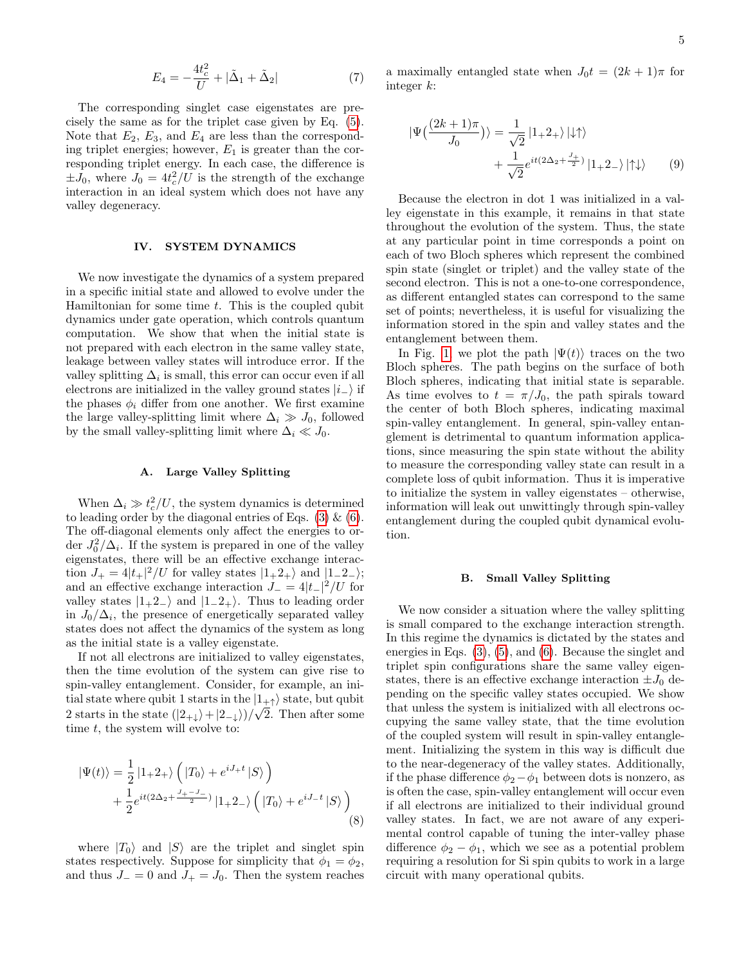$$
E_4 = -\frac{4t_c^2}{U} + |\tilde{\Delta}_1 + \tilde{\Delta}_2| \tag{7}
$$

The corresponding singlet case eigenstates are precisely the same as for the triplet case given by Eq. [\(5\)](#page-3-0). Note that  $E_2$ ,  $E_3$ , and  $E_4$  are less than the corresponding triplet energies; however,  $E_1$  is greater than the corresponding triplet energy. In each case, the difference is  $\pm J_0$ , where  $J_0 = 4t_c^2/U$  is the strength of the exchange interaction in an ideal system which does not have any valley degeneracy.

### IV. SYSTEM DYNAMICS

We now investigate the dynamics of a system prepared in a specific initial state and allowed to evolve under the Hamiltonian for some time  $t$ . This is the coupled qubit dynamics under gate operation, which controls quantum computation. We show that when the initial state is not prepared with each electron in the same valley state, leakage between valley states will introduce error. If the valley splitting  $\Delta_i$  is small, this error can occur even if all electrons are initialized in the valley ground states  $|i\rangle$  if the phases  $\phi_i$  differ from one another. We first examine the large valley-splitting limit where  $\Delta_i \gg J_0$ , followed by the small valley-splitting limit where  $\Delta_i \ll J_0$ .

### A. Large Valley Splitting

When  $\Delta_i \gg t_c^2/U$ , the system dynamics is determined to leading order by the diagonal entries of Eqs.  $(3) \& (6)$  $(3) \& (6)$  $(3) \& (6)$ . The off-diagonal elements only affect the energies to order  $J_0^2/\Delta_i$ . If the system is prepared in one of the valley eigenstates, there will be an effective exchange interaction  $J_+ = 4|t_+|^2/U$  for valley states  $|1_+2_+\rangle$  and  $|1_-2_-\rangle$ ; and an effective exchange interaction  $J_- = 4|t_-|^2/U$  for valley states  $|1_+2_-\rangle$  and  $|1_2_+\rangle$ . Thus to leading order in  $J_0/\Delta_i$ , the presence of energetically separated valley states does not affect the dynamics of the system as long as the initial state is a valley eigenstate.

If not all electrons are initialized to valley eigenstates, then the time evolution of the system can give rise to spin-valley entanglement. Consider, for example, an initial state where qubit 1 starts in the  $|1_{+\uparrow}\rangle$  state, but qubit 2 starts in the state  $(|2_{+\downarrow}\rangle + |2_{-\downarrow}\rangle)/\sqrt{2}$ . Then after some time  $t$ , the system will evolve to:

$$
|\Psi(t)\rangle = \frac{1}{2} |1+2+\rangle \left( |T_0\rangle + e^{iJ_+t} |S\rangle \right) + \frac{1}{2} e^{it(2\Delta_2 + \frac{J_+ - J_-}{2})} |1+2-\rangle \left( |T_0\rangle + e^{iJ_-t} |S\rangle \right)
$$
(8)

where  $|T_0\rangle$  and  $|S\rangle$  are the triplet and singlet spin states respectively. Suppose for simplicity that  $\phi_1 = \phi_2$ , and thus  $J_-=0$  and  $J_+=J_0$ . Then the system reaches <span id="page-4-1"></span>a maximally entangled state when  $J_0t = (2k+1)\pi$  for integer k:

$$
|\Psi\left(\frac{(2k+1)\pi}{J_0}\right)\rangle = \frac{1}{\sqrt{2}} |1+2+\rangle |\downarrow\uparrow\rangle
$$
  
+ 
$$
\frac{1}{\sqrt{2}} e^{it(2\Delta_2 + \frac{J_+}{2})} |1+2-\rangle |\uparrow\downarrow\rangle \tag{9}
$$

Because the electron in dot 1 was initialized in a valley eigenstate in this example, it remains in that state throughout the evolution of the system. Thus, the state at any particular point in time corresponds a point on each of two Bloch spheres which represent the combined spin state (singlet or triplet) and the valley state of the second electron. This is not a one-to-one correspondence, as different entangled states can correspond to the same set of points; nevertheless, it is useful for visualizing the information stored in the spin and valley states and the entanglement between them.

In Fig. [1,](#page-5-0) we plot the path  $|\Psi(t)\rangle$  traces on the two Bloch spheres. The path begins on the surface of both Bloch spheres, indicating that initial state is separable. As time evolves to  $t = \pi/J_0$ , the path spirals toward the center of both Bloch spheres, indicating maximal spin-valley entanglement. In general, spin-valley entanglement is detrimental to quantum information applications, since measuring the spin state without the ability to measure the corresponding valley state can result in a complete loss of qubit information. Thus it is imperative to initialize the system in valley eigenstates – otherwise, information will leak out unwittingly through spin-valley entanglement during the coupled qubit dynamical evolution.

### B. Small Valley Splitting

<span id="page-4-0"></span>We now consider a situation where the valley splitting is small compared to the exchange interaction strength. In this regime the dynamics is dictated by the states and energies in Eqs. [\(3\)](#page-2-0), [\(5\)](#page-3-0), and [\(6\)](#page-3-1). Because the singlet and triplet spin configurations share the same valley eigenstates, there is an effective exchange interaction  $\pm J_0$  depending on the specific valley states occupied. We show that unless the system is initialized with all electrons occupying the same valley state, that the time evolution of the coupled system will result in spin-valley entanglement. Initializing the system in this way is difficult due to the near-degeneracy of the valley states. Additionally, if the phase difference  $\phi_2-\phi_1$  between dots is nonzero, as is often the case, spin-valley entanglement will occur even if all electrons are initialized to their individual ground valley states. In fact, we are not aware of any experimental control capable of tuning the inter-valley phase difference  $\phi_2 - \phi_1$ , which we see as a potential problem requiring a resolution for Si spin qubits to work in a large circuit with many operational qubits.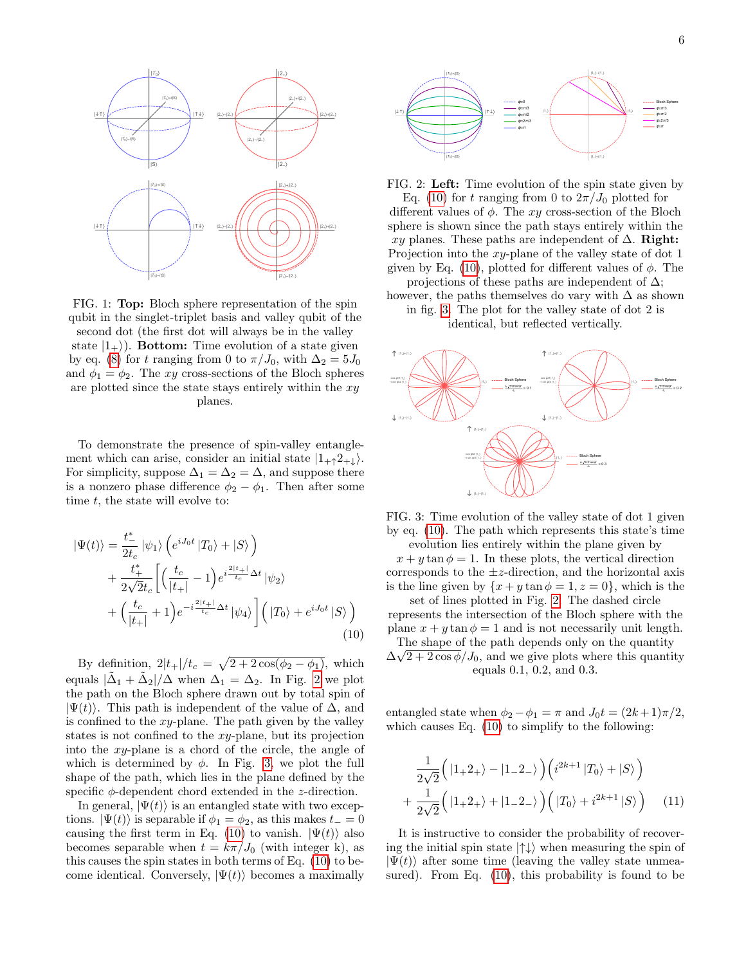<span id="page-5-0"></span>

FIG. 1: Top: Bloch sphere representation of the spin qubit in the singlet-triplet basis and valley qubit of the second dot (the first dot will always be in the valley state  $|1_{+}\rangle$ ). Bottom: Time evolution of a state given by eq. [\(8\)](#page-4-0) for t ranging from 0 to  $\pi/J_0$ , with  $\Delta_2 = 5J_0$ and  $\phi_1 = \phi_2$ . The xy cross-sections of the Bloch spheres are plotted since the state stays entirely within the  $xy$ planes.

To demonstrate the presence of spin-valley entanglement which can arise, consider an initial state  $|1_{+}\hat{z}_{+}\rangle$ . For simplicity, suppose  $\Delta_1 = \Delta_2 = \Delta$ , and suppose there is a nonzero phase difference  $\phi_2 - \phi_1$ . Then after some time  $t$ , the state will evolve to:

$$
\begin{split} \left| \Psi(t) \right\rangle &= \frac{t_{-}^{*}}{2t_{c}} \left| \psi_{1} \right\rangle \left( e^{iJ_{0}t} \left| T_{0} \right\rangle + \left| S \right\rangle \right) \\ &+ \frac{t_{+}^{*}}{2\sqrt{2}t_{c}} \left[ \left( \frac{t_{c}}{\left| t_{+} \right|} - 1 \right) e^{i\frac{2\left| t_{+} \right|}{t_{c}} \Delta t} \left| \psi_{2} \right\rangle \right. \\ &\left. + \left( \frac{t_{c}}{\left| t_{+} \right|} + 1 \right) e^{-i\frac{2\left| t_{+} \right|}{t_{c}} \Delta t} \left| \psi_{4} \right\rangle \right] \left( \left| T_{0} \right\rangle + e^{iJ_{0}t} \left| S \right\rangle \right) \end{split} \tag{10}
$$

By definition,  $2|t_+|/t_c = \sqrt{2 + 2\cos(\phi_2 - \phi_1)}$ , which equals  $|\tilde{\Delta}_1 + \tilde{\Delta}_2|/\Delta$  when  $\Delta_1 = \Delta_2$ . In Fig. [2](#page-5-1) we plot the path on the Bloch sphere drawn out by total spin of  $|\Psi(t)\rangle$ . This path is independent of the value of  $\Delta$ , and is confined to the  $xy$ -plane. The path given by the valley states is not confined to the xy-plane, but its projection into the  $xy$ -plane is a chord of the circle, the angle of which is determined by  $\phi$ . In Fig. [3,](#page-5-2) we plot the full shape of the path, which lies in the plane defined by the specific  $\phi$ -dependent chord extended in the *z*-direction.

In general,  $|\Psi(t)\rangle$  is an entangled state with two exceptions.  $|\Psi(t)\rangle$  is separable if  $\phi_1 = \phi_2$ , as this makes  $t_-=0$ causing the first term in Eq. [\(10\)](#page-5-3) to vanish.  $|\Psi(t)\rangle$  also becomes separable when  $t = k\pi/J_0$  (with integer k), as this causes the spin states in both terms of Eq. [\(10\)](#page-5-3) to become identical. Conversely,  $|\Psi(t)\rangle$  becomes a maximally

<span id="page-5-1"></span>

FIG. 2: Left: Time evolution of the spin state given by Eq. [\(10\)](#page-5-3) for t ranging from 0 to  $2\pi/J_0$  plotted for different values of  $\phi$ . The xy cross-section of the Bloch sphere is shown since the path stays entirely within the xy planes. These paths are independent of  $\Delta$ . Right: Projection into the xy-plane of the valley state of dot 1 given by Eq. [\(10\)](#page-5-3), plotted for different values of  $\phi$ . The projections of these paths are independent of  $\Delta$ ;

however, the paths themselves do vary with  $\Delta$  as shown in fig. [3.](#page-5-2) The plot for the valley state of dot 2 is

identical, but reflected vertically.

<span id="page-5-2"></span>

FIG. 3: Time evolution of the valley state of dot 1 given by eq. [\(10\)](#page-5-3). The path which represents this state's time evolution lies entirely within the plane given by

 $x + y \tan \phi = 1$ . In these plots, the vertical direction corresponds to the  $\pm z$ -direction, and the horizontal axis is the line given by  $\{x + y \tan \phi = 1, z = 0\}$ , which is the

set of lines plotted in Fig. [2.](#page-5-1) The dashed circle represents the intersection of the Bloch sphere with the plane  $x + y \tan \phi = 1$  and is not necessarily unit length.

<span id="page-5-3"></span>The shape of the path depends only on the quantity  $\Delta\sqrt{2+2\cos\phi}/J_0$ , and we give plots where this quantity equals 0.1, 0.2, and 0.3.

entangled state when  $\phi_2 - \phi_1 = \pi$  and  $J_0 t = (2k+1)\pi/2$ , which causes Eq. [\(10\)](#page-5-3) to simplify to the following:

$$
\frac{1}{2\sqrt{2}}\left(|1+2+\rangle-|1-2-\rangle\right)\left(i^{2k+1}|T_0\rangle+|S\rangle\right) \n+\frac{1}{2\sqrt{2}}\left(|1+2+\rangle+|1-2-\rangle\right)\left(|T_0\rangle+i^{2k+1}|S\rangle\right) \quad (11)
$$

It is instructive to consider the probability of recovering the initial spin state  $|\uparrow\downarrow\rangle$  when measuring the spin of  $|\Psi(t)\rangle$  after some time (leaving the valley state unmeasured). From Eq. [\(10\)](#page-5-3), this probability is found to be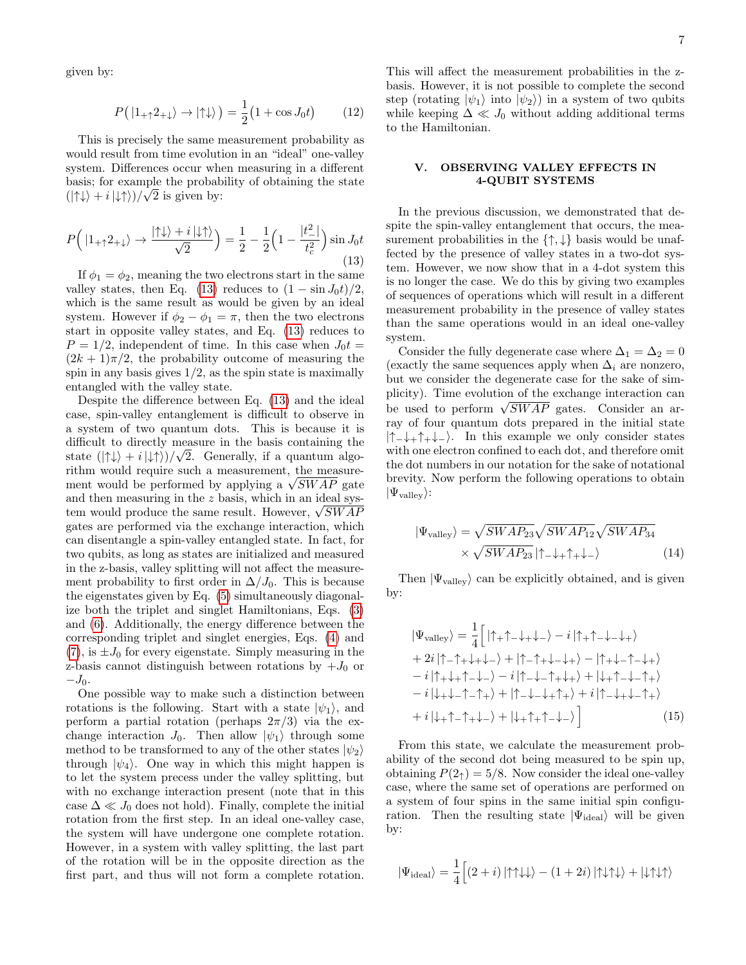given by:

$$
P(|1_{+\uparrow}2_{+\downarrow}\rangle \to |\uparrow\downarrow\rangle) = \frac{1}{2}(1 + \cos J_0 t) \tag{12}
$$

This is precisely the same measurement probability as would result from time evolution in an "ideal" one-valley system. Differences occur when measuring in a different basis; for example the probability of obtaining the state  $(|\uparrow\downarrow\rangle + i|\downarrow\uparrow\rangle)/\sqrt{2}$  is given by:

<span id="page-6-0"></span>
$$
P\left(|1_{+\uparrow}2_{+\downarrow}\rangle \to \frac{|\uparrow\downarrow\rangle + i|\downarrow\uparrow\rangle}{\sqrt{2}}\right) = \frac{1}{2} - \frac{1}{2}\left(1 - \frac{|t_{-}^{2}|}{t_{c}^{2}}\right)\sin J_{0}t
$$
\n(13)

If  $\phi_1 = \phi_2$ , meaning the two electrons start in the same valley states, then Eq. [\(13\)](#page-6-0) reduces to  $(1 - \sin J_0 t)/2$ , which is the same result as would be given by an ideal system. However if  $\phi_2 - \phi_1 = \pi$ , then the two electrons start in opposite valley states, and Eq. [\(13\)](#page-6-0) reduces to  $P = 1/2$ , independent of time. In this case when  $J_0 t =$  $(2k+1)\pi/2$ , the probability outcome of measuring the spin in any basis gives  $1/2$ , as the spin state is maximally entangled with the valley state.

Despite the difference between Eq. [\(13\)](#page-6-0) and the ideal case, spin-valley entanglement is difficult to observe in a system of two quantum dots. This is because it is difficult to directly measure in the basis containing the state  $(|\uparrow\downarrow\rangle + i|\downarrow\uparrow\rangle)/\sqrt{2}$ . Generally, if a quantum algorithm would require such a measurement, the measurerithm would require such a measurement, the measure-<br>ment would be performed by applying a  $\sqrt{SWAP}$  gate and then measuring in the z basis, which in an ideal sysand then measuring in the  $z$  basis, which in an ideal system would produce the same result. However,  $\sqrt{SWAF}$ gates are performed via the exchange interaction, which can disentangle a spin-valley entangled state. In fact, for two qubits, as long as states are initialized and measured in the z-basis, valley splitting will not affect the measurement probability to first order in  $\Delta/J_0$ . This is because the eigenstates given by Eq. [\(5\)](#page-3-0) simultaneously diagonalize both the triplet and singlet Hamiltonians, Eqs. [\(3\)](#page-2-0) and [\(6\)](#page-3-1). Additionally, the energy difference between the corresponding triplet and singlet energies, Eqs. [\(4\)](#page-3-2) and  $(7)$ , is  $\pm J_0$  for every eigenstate. Simply measuring in the z-basis cannot distinguish between rotations by  $+J_0$  or  $-J_0$ .

One possible way to make such a distinction between rotations is the following. Start with a state  $|\psi_1\rangle$ , and perform a partial rotation (perhaps  $2\pi/3$ ) via the exchange interaction  $J_0$ . Then allow  $|\psi_1\rangle$  through some method to be transformed to any of the other states  $|\psi_2\rangle$ through  $|\psi_4\rangle$ . One way in which this might happen is to let the system precess under the valley splitting, but with no exchange interaction present (note that in this case  $\Delta \ll J_0$  does not hold). Finally, complete the initial rotation from the first step. In an ideal one-valley case, the system will have undergone one complete rotation. However, in a system with valley splitting, the last part of the rotation will be in the opposite direction as the first part, and thus will not form a complete rotation.

This will affect the measurement probabilities in the zbasis. However, it is not possible to complete the second step (rotating  $|\psi_1\rangle$  into  $|\psi_2\rangle$ ) in a system of two qubits while keeping  $\Delta \ll J_0$  without adding additional terms to the Hamiltonian.

# V. OBSERVING VALLEY EFFECTS IN 4-QUBIT SYSTEMS

In the previous discussion, we demonstrated that despite the spin-valley entanglement that occurs, the measurement probabilities in the  $\{\uparrow,\downarrow\}$  basis would be unaffected by the presence of valley states in a two-dot system. However, we now show that in a 4-dot system this is no longer the case. We do this by giving two examples of sequences of operations which will result in a different measurement probability in the presence of valley states than the same operations would in an ideal one-valley system.

Consider the fully degenerate case where  $\Delta_1 = \Delta_2 = 0$ (exactly the same sequences apply when  $\Delta_i$  are nonzero, but we consider the degenerate case for the sake of simplicity). Time evolution of the exchange interaction can pherty). The evolution of the exchange interaction can<br>be used to perform  $\sqrt{SWAP}$  gates. Consider an array of four quantum dots prepared in the initial state |↑−↓+↑+↓−i. In this example we only consider states with one electron confined to each dot, and therefore omit the dot numbers in our notation for the sake of notational brevity. Now perform the following operations to obtain  $|\Psi_{\text{valley}}\rangle$ :

<span id="page-6-1"></span>
$$
|\Psi_{\text{valley}}\rangle = \sqrt{SWAP_{23}} \sqrt{SWAP_{12}} \sqrt{SWAP_{34}}
$$

$$
\times \sqrt{SWAP_{23}} |\uparrow_{-\downarrow +} \uparrow_{+\downarrow -} \rangle
$$
(14)

Then  $|\Psi_{\text{valley}}\rangle$  can be explicitly obtained, and is given by:

$$
|\Psi_{\text{valley}}\rangle = \frac{1}{4} \left[ |\uparrow_{+}\uparrow_{-}\downarrow_{+}\downarrow_{-}\rangle - i |\uparrow_{+}\uparrow_{-}\downarrow_{-}\downarrow_{+}\rangle \right. \\
+ 2i |\uparrow_{-}\uparrow_{+}\downarrow_{+}\downarrow_{-}\rangle + |\uparrow_{-}\uparrow_{+}\downarrow_{-}\downarrow_{+}\rangle - |\uparrow_{+}\downarrow_{-}\uparrow_{-}\downarrow_{+}\rangle \\
-i |\uparrow_{+}\downarrow_{+}\uparrow_{-}\downarrow_{-}\rangle - i |\uparrow_{-}\downarrow_{-}\uparrow_{+}\downarrow_{+}\rangle + |\downarrow_{+}\uparrow_{-}\downarrow_{-}\uparrow_{+}\rangle \\
-i |\downarrow_{+}\downarrow_{-}\uparrow_{-}\uparrow_{+}\rangle + |\uparrow_{-}\downarrow_{-}\downarrow_{+}\uparrow_{+}\rangle + i |\uparrow_{-}\downarrow_{+}\downarrow_{-}\uparrow_{+}\rangle \\
+ i |\downarrow_{+}\uparrow_{-}\uparrow_{+}\downarrow_{-}\rangle + |\downarrow_{+}\uparrow_{+}\uparrow_{-}\downarrow_{-}\rangle \right] \tag{15}
$$

From this state, we calculate the measurement probability of the second dot being measured to be spin up, obtaining  $P(2<sub>†</sub>) = 5/8$ . Now consider the ideal one-valley case, where the same set of operations are performed on a system of four spins in the same initial spin configuration. Then the resulting state  $|\Psi_{\text{ideal}}\rangle$  will be given by:

$$
\left|\Psi_{\rm ideal}\right\rangle=\frac{1}{4}\Big[\left(2+i\right)\left|\uparrow\uparrow\downarrow\downarrow\right\rangle-\left(1+2i\right)\left|\uparrow\downarrow\uparrow\downarrow\right\rangle+\left|\downarrow\uparrow\downarrow\uparrow\right\rangle
$$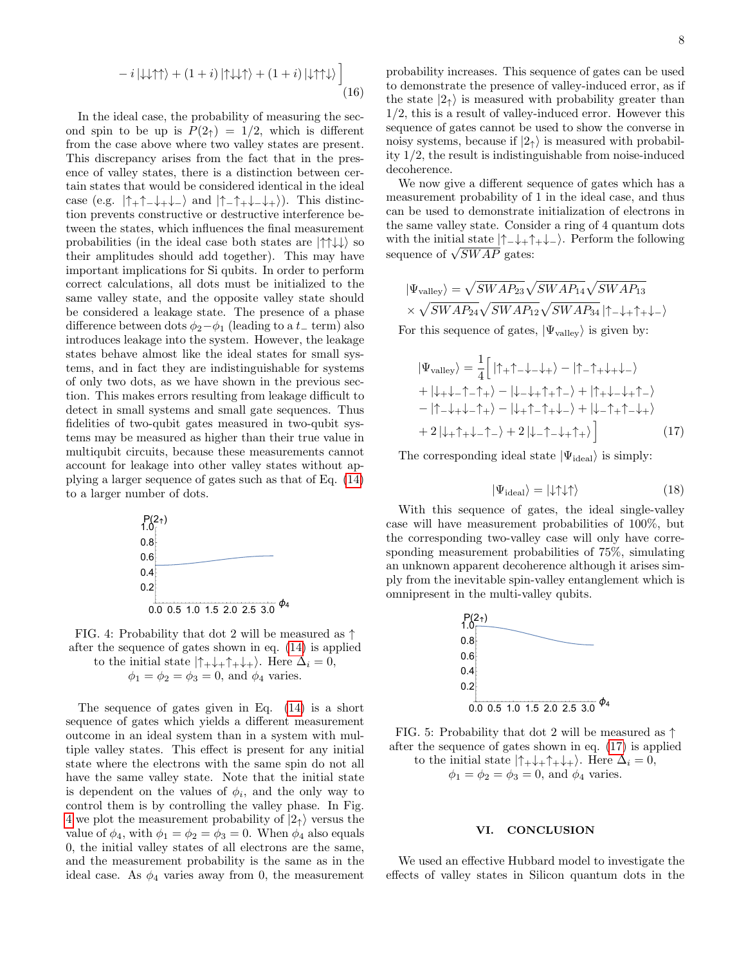$$
-i|\downarrow\downarrow\uparrow\uparrow\rangle + (1+i)|\uparrow\downarrow\downarrow\uparrow\rangle + (1+i)|\downarrow\uparrow\uparrow\downarrow\rangle \bigg]
$$
\n(16)

In the ideal case, the probability of measuring the second spin to be up is  $P(2<sub>†</sub>) = 1/2$ , which is different from the case above where two valley states are present. This discrepancy arises from the fact that in the presence of valley states, there is a distinction between certain states that would be considered identical in the ideal case (e.g.  $|\uparrow_+\uparrow_-\downarrow_+\downarrow_-\rangle$  and  $|\uparrow_-\uparrow_+\downarrow_-\downarrow_+\rangle$ ). This distinction prevents constructive or destructive interference between the states, which influences the final measurement probabilities (in the ideal case both states are  $|\uparrow \uparrow \downarrow \downarrow \rangle$  so their amplitudes should add together). This may have important implications for Si qubits. In order to perform correct calculations, all dots must be initialized to the same valley state, and the opposite valley state should be considered a leakage state. The presence of a phase difference between dots  $\phi_2-\phi_1$  (leading to a t\_ term) also introduces leakage into the system. However, the leakage states behave almost like the ideal states for small systems, and in fact they are indistinguishable for systems of only two dots, as we have shown in the previous section. This makes errors resulting from leakage difficult to detect in small systems and small gate sequences. Thus fidelities of two-qubit gates measured in two-qubit systems may be measured as higher than their true value in multiqubit circuits, because these measurements cannot account for leakage into other valley states without applying a larger sequence of gates such as that of Eq. [\(14\)](#page-6-1) to a larger number of dots.

<span id="page-7-0"></span>

FIG. 4: Probability that dot 2 will be measured as  $\uparrow$ after the sequence of gates shown in eq. [\(14\)](#page-6-1) is applied

to the initial state  $|\uparrow_+\downarrow_+\uparrow_+\downarrow_+$ . Here  $\Delta_i = 0$ ,  $\phi_1 = \phi_2 = \phi_3 = 0$ , and  $\phi_4$  varies.

The sequence of gates given in Eq. [\(14\)](#page-6-1) is a short sequence of gates which yields a different measurement outcome in an ideal system than in a system with multiple valley states. This effect is present for any initial state where the electrons with the same spin do not all have the same valley state. Note that the initial state is dependent on the values of  $\phi_i$ , and the only way to control them is by controlling the valley phase. In Fig. [4](#page-7-0) we plot the measurement probability of  $|2_{\uparrow}\rangle$  versus the value of  $\phi_4$ , with  $\phi_1 = \phi_2 = \phi_3 = 0$ . When  $\phi_4$  also equals 0, the initial valley states of all electrons are the same, and the measurement probability is the same as in the ideal case. As  $\phi_4$  varies away from 0, the measurement

probability increases. This sequence of gates can be used to demonstrate the presence of valley-induced error, as if the state  $|2_1\rangle$  is measured with probability greater than 1/2, this is a result of valley-induced error. However this sequence of gates cannot be used to show the converse in noisy systems, because if  $|2<sub>\uparrow</sub>\rangle$  is measured with probability 1/2, the result is indistinguishable from noise-induced decoherence.

We now give a different sequence of gates which has a measurement probability of 1 in the ideal case, and thus can be used to demonstrate initialization of electrons in the same valley state. Consider a ring of 4 quantum dots with the initial state  $|\uparrow_+\downarrow_+ \uparrow_+ \downarrow_-\rangle$ . Perform the following with the initial state  $||-\downarrow||$ <br>sequence of  $\sqrt{SWAP}$  gates:

$$
|\Psi_{\text{valley}}\rangle = \sqrt{SWAP_{23}} \sqrt{SWAP_{14}} \sqrt{SWAP_{13}}
$$

$$
\times \sqrt{SWAP_{24}} \sqrt{SWAP_{12}} \sqrt{SWAP_{34}} |\uparrow \_\downarrow + \uparrow \_\downarrow \_
$$

For this sequence of gates,  $|\Psi_{\text{valley}}\rangle$  is given by:

$$
|\Psi_{\text{valley}}\rangle = \frac{1}{4} \Big[ |\uparrow_{+}\uparrow_{-}\downarrow_{+}\rangle - |\uparrow_{-}\uparrow_{+}\downarrow_{+}\downarrow_{-}\rangle
$$
  
+  $|\downarrow_{+}\downarrow_{-}\uparrow_{-}\uparrow_{+}\rangle - |\downarrow_{-}\downarrow_{+}\uparrow_{+}\uparrow_{-}\rangle + |\uparrow_{+}\downarrow_{-}\downarrow_{+}\uparrow_{-}\rangle$   
-  $|\uparrow_{-}\downarrow_{+}\downarrow_{-}\uparrow_{+}\rangle - |\downarrow_{+}\uparrow_{-}\uparrow_{+}\downarrow_{-}\rangle + |\downarrow_{-}\uparrow_{+}\uparrow_{-}\downarrow_{+}\rangle$   
+  $2|\downarrow_{+}\uparrow_{+}\downarrow_{-}\uparrow_{-}\rangle + 2|\downarrow_{-}\uparrow_{-}\downarrow_{+}\uparrow_{+}\rangle \Big]$  (17)

The corresponding ideal state  $|\Psi_{\text{ideal}}\rangle$  is simply:

<span id="page-7-1"></span>
$$
|\Psi_{\text{ideal}}\rangle = |\downarrow\uparrow\downarrow\uparrow\rangle \tag{18}
$$

With this sequence of gates, the ideal single-valley case will have measurement probabilities of 100%, but the corresponding two-valley case will only have corresponding measurement probabilities of 75%, simulating an unknown apparent decoherence although it arises simply from the inevitable spin-valley entanglement which is omnipresent in the multi-valley qubits.



FIG. 5: Probability that dot 2 will be measured as  $\uparrow$ after the sequence of gates shown in eq. [\(17\)](#page-7-1) is applied to the initial state  $|\uparrow_+\downarrow_+\uparrow_+\downarrow_+|$ . Here  $\Delta_i = 0$ ,

 $\phi_1 = \phi_2 = \phi_3 = 0$ , and  $\phi_4$  varies.

### VI. CONCLUSION

We used an effective Hubbard model to investigate the effects of valley states in Silicon quantum dots in the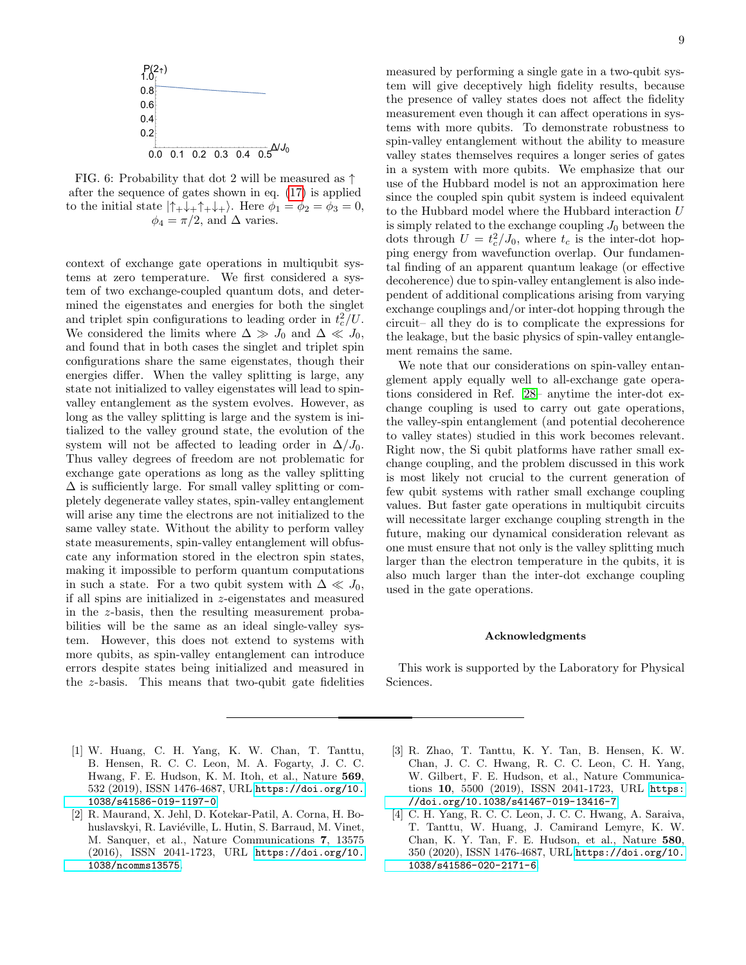

FIG. 6: Probability that dot 2 will be measured as  $\uparrow$ after the sequence of gates shown in eq. [\(17\)](#page-7-1) is applied to the initial state  $|\uparrow_+\downarrow_+\uparrow_+\downarrow_+$ . Here  $\phi_1 = \phi_2 = \phi_3 = 0$ ,  $\phi_4 = \pi/2$ , and  $\Delta$  varies.

context of exchange gate operations in multiqubit systems at zero temperature. We first considered a system of two exchange-coupled quantum dots, and determined the eigenstates and energies for both the singlet and triplet spin configurations to leading order in  $t_c^2/U$ . We considered the limits where  $\Delta \gg J_0$  and  $\Delta \ll J_0$ , and found that in both cases the singlet and triplet spin configurations share the same eigenstates, though their energies differ. When the valley splitting is large, any state not initialized to valley eigenstates will lead to spinvalley entanglement as the system evolves. However, as long as the valley splitting is large and the system is initialized to the valley ground state, the evolution of the system will not be affected to leading order in  $\Delta/J_0$ . Thus valley degrees of freedom are not problematic for exchange gate operations as long as the valley splitting  $\Delta$  is sufficiently large. For small valley splitting or completely degenerate valley states, spin-valley entanglement will arise any time the electrons are not initialized to the same valley state. Without the ability to perform valley state measurements, spin-valley entanglement will obfuscate any information stored in the electron spin states, making it impossible to perform quantum computations in such a state. For a two qubit system with  $\Delta \ll J_0$ , if all spins are initialized in z-eigenstates and measured in the z-basis, then the resulting measurement probabilities will be the same as an ideal single-valley system. However, this does not extend to systems with more qubits, as spin-valley entanglement can introduce errors despite states being initialized and measured in the z-basis. This means that two-qubit gate fidelities

measured by performing a single gate in a two-qubit system will give deceptively high fidelity results, because the presence of valley states does not affect the fidelity measurement even though it can affect operations in systems with more qubits. To demonstrate robustness to spin-valley entanglement without the ability to measure valley states themselves requires a longer series of gates in a system with more qubits. We emphasize that our use of the Hubbard model is not an approximation here since the coupled spin qubit system is indeed equivalent to the Hubbard model where the Hubbard interaction U is simply related to the exchange coupling  $J_0$  between the dots through  $U = t_c^2/J_0$ , where  $t_c$  is the inter-dot hopping energy from wavefunction overlap. Our fundamental finding of an apparent quantum leakage (or effective decoherence) due to spin-valley entanglement is also independent of additional complications arising from varying exchange couplings and/or inter-dot hopping through the circuit– all they do is to complicate the expressions for the leakage, but the basic physics of spin-valley entanglement remains the same.

We note that our considerations on spin-valley entanglement apply equally well to all-exchange gate operations considered in Ref. [28–](#page-9-10) anytime the inter-dot exchange coupling is used to carry out gate operations, the valley-spin entanglement (and potential decoherence to valley states) studied in this work becomes relevant. Right now, the Si qubit platforms have rather small exchange coupling, and the problem discussed in this work is most likely not crucial to the current generation of few qubit systems with rather small exchange coupling values. But faster gate operations in multiqubit circuits will necessitate larger exchange coupling strength in the future, making our dynamical consideration relevant as one must ensure that not only is the valley splitting much larger than the electron temperature in the qubits, it is also much larger than the inter-dot exchange coupling used in the gate operations.

### Acknowledgments

This work is supported by the Laboratory for Physical Sciences.

- <span id="page-8-0"></span>[1] W. Huang, C. H. Yang, K. W. Chan, T. Tanttu, B. Hensen, R. C. C. Leon, M. A. Fogarty, J. C. C. Hwang, F. E. Hudson, K. M. Itoh, et al., Nature 569, 532 (2019), ISSN 1476-4687, URL [https://doi.org/10.](https://doi.org/10.1038/s41586-019-1197-0) [1038/s41586-019-1197-0](https://doi.org/10.1038/s41586-019-1197-0).
- [2] R. Maurand, X. Jehl, D. Kotekar-Patil, A. Corna, H. Bohuslavskyi, R. Laviéville, L. Hutin, S. Barraud, M. Vinet, M. Sanquer, et al., Nature Communications 7, 13575 (2016), ISSN 2041-1723, URL [https://doi.org/10.](https://doi.org/10.1038/ncomms13575) [1038/ncomms13575](https://doi.org/10.1038/ncomms13575).
- [3] R. Zhao, T. Tanttu, K. Y. Tan, B. Hensen, K. W. Chan, J. C. C. Hwang, R. C. C. Leon, C. H. Yang, W. Gilbert, F. E. Hudson, et al., Nature Communications 10, 5500 (2019), ISSN 2041-1723, URL [https:](https://doi.org/10.1038/s41467-019-13416-7) [//doi.org/10.1038/s41467-019-13416-7](https://doi.org/10.1038/s41467-019-13416-7).
- [4] C. H. Yang, R. C. C. Leon, J. C. C. Hwang, A. Saraiva, T. Tanttu, W. Huang, J. Camirand Lemyre, K. W. Chan, K. Y. Tan, F. E. Hudson, et al., Nature 580, 350 (2020), ISSN 1476-4687, URL [https://doi.org/10.](https://doi.org/10.1038/s41586-020-2171-6) [1038/s41586-020-2171-6](https://doi.org/10.1038/s41586-020-2171-6).